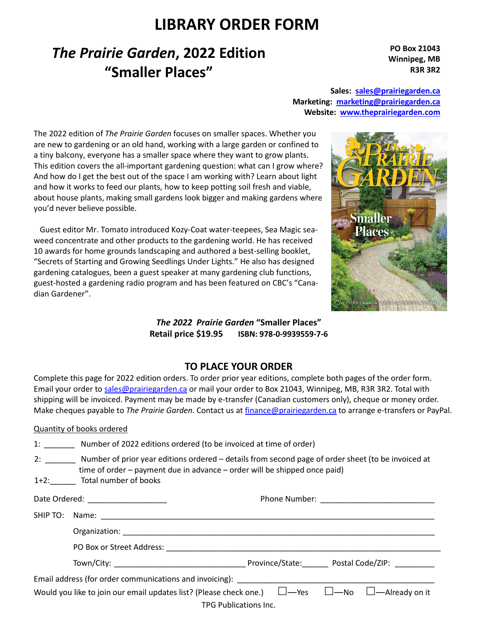## **LIBRARY ORDER FORM**

# *The Prairie Garden***, 2022 Edition "Smaller Places"**

**PO Box 21043 Winnipeg, MB R3R 3R2** 

**Sales: sales@prairiegarden.ca Marketing: marketing@prairiegarden.ca Website: www.theprairiegarden.com** 

The 2022 edition of *The Prairie Garden* focuses on smaller spaces. Whether you are new to gardening or an old hand, working with a large garden or confined to a tiny balcony, everyone has a smaller space where they want to grow plants. This edition covers the all-important gardening question: what can I grow where? And how do I get the best out of the space I am working with? Learn about light and how it works to feed our plants, how to keep potting soil fresh and viable, about house plants, making small gardens look bigger and making gardens where you'd never believe possible.

 Guest editor Mr. Tomato introduced Kozy-Coat water-teepees, Sea Magic seaweed concentrate and other products to the gardening world. He has received 10 awards for home grounds landscaping and authored a best-selling booklet, "Secrets of Starting and Growing Seedlings Under Lights." He also has designed gardening catalogues, been a guest speaker at many gardening club functions, guest-hosted a gardening radio program and has been featured on CBC's "Canadian Gardener".



*The 2022 Prairie Garden* **"Smaller Places" Retail price \$19.95 ISBN: 978-0-9939559-7-6**

## **TO PLACE YOUR ORDER**

Complete this page for 2022 edition orders. To order prior year editions, complete both pages of the order form. Email your order to sales@prairiegarden.ca or mail your order to Box 21043, Winnipeg, MB, R3R 3R2. Total with shipping will be invoiced. Payment may be made by e-transfer (Canadian customers only), cheque or money order. Make cheques payable to *The Prairie Garden*. Contact us at finance@prairiegarden.ca to arrange e-transfers or PayPal.

### Quantity of books ordered

|  | Number of 2022 editions ordered (to be invoiced at time of order) |  |  |  |  |  |  |  |  |  |  |  |  |
|--|-------------------------------------------------------------------|--|--|--|--|--|--|--|--|--|--|--|--|
|  |                                                                   |  |  |  |  |  |  |  |  |  |  |  |  |

| 2:             | Number of prior year editions ordered – details from second page of order sheet (to be invoiced at |
|----------------|----------------------------------------------------------------------------------------------------|
|                | time of order – payment due in advance – order will be shipped once paid)                          |
| $\mathbf{A}$ . | Takahan makamat ka aha                                                                             |

1+2:\_\_\_\_\_\_ Total number of books

| Date Ordered: _____________________ |                                                                                                                 |  |  |  |  |  |  |
|-------------------------------------|-----------------------------------------------------------------------------------------------------------------|--|--|--|--|--|--|
|                                     |                                                                                                                 |  |  |  |  |  |  |
|                                     |                                                                                                                 |  |  |  |  |  |  |
|                                     |                                                                                                                 |  |  |  |  |  |  |
|                                     |                                                                                                                 |  |  |  |  |  |  |
|                                     |                                                                                                                 |  |  |  |  |  |  |
|                                     | Would you like to join our email updates list? (Please check one.) $\Box$ —Yes $\Box$ —No $\Box$ —Already on it |  |  |  |  |  |  |
|                                     | TPG Publications Inc.                                                                                           |  |  |  |  |  |  |